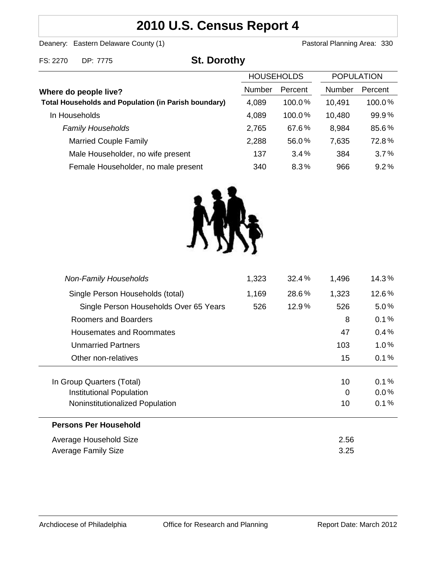# **2010 U.S. Census Report 4**

Deanery: Eastern Delaware County (1) Deanery: Eastern Delaware County (1)

FS: 2270 DP: 7775 **St. Dorothy**

|                                                                                      | <b>HOUSEHOLDS</b> |           | <b>POPULATION</b> |         |
|--------------------------------------------------------------------------------------|-------------------|-----------|-------------------|---------|
| Where do people live?<br><b>Total Households and Population (in Parish boundary)</b> | <b>Number</b>     | Percent   | <b>Number</b>     | Percent |
|                                                                                      | 4,089             | $100.0\%$ | 10,491            | 100.0%  |
| In Households                                                                        | 4,089             | 100.0%    | 10,480            | 99.9%   |
| <b>Family Households</b>                                                             | 2,765             | 67.6%     | 8,984             | 85.6%   |
| <b>Married Couple Family</b>                                                         | 2,288             | 56.0%     | 7,635             | 72.8%   |
| Male Householder, no wife present                                                    | 137               | $3.4\%$   | 384               | 3.7%    |
| Female Householder, no male present                                                  | 340               | 8.3%      | 966               | 9.2%    |



| <b>Non-Family Households</b>                          | 1,323 | 32.4%    | 1,496   | 14.3%           |
|-------------------------------------------------------|-------|----------|---------|-----------------|
| Single Person Households (total)                      | 1,169 | 28.6%    | 1,323   | 12.6%           |
| Single Person Households Over 65 Years                | 526   | $12.9\%$ | 526     | $5.0\%$         |
| Roomers and Boarders                                  |       |          | 8       | 0.1%            |
| Housemates and Roommates                              |       |          | 47      | 0.4%            |
| <b>Unmarried Partners</b>                             |       |          | 103     | $1.0\%$         |
| Other non-relatives                                   |       |          | 15      | 0.1%            |
|                                                       |       |          |         |                 |
| In Group Quarters (Total)<br>Institutional Population |       |          | 10<br>0 | 0.1%<br>$0.0\%$ |
| Noninstitutionalized Population                       |       |          | 10      | 0.1%            |
| <b>Persons Per Household</b>                          |       |          |         |                 |
| Average Household Size                                |       |          | 2.56    |                 |
| <b>Average Family Size</b>                            |       |          | 3.25    |                 |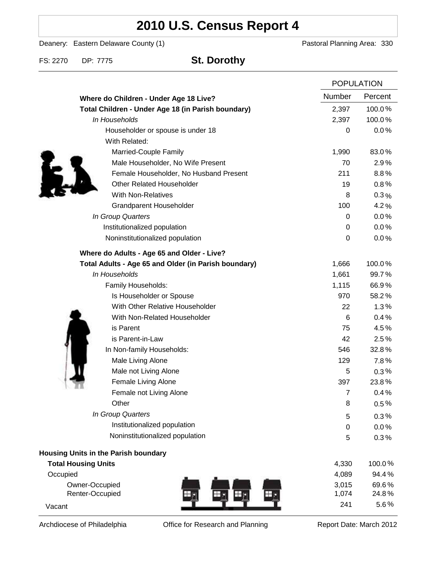# **2010 U.S. Census Report 4**

Deanery: Eastern Delaware County (1) Deanery: Eastern Delaware County (1)

FS: 2270 DP: 7775 **St. Dorothy**

|                                                      | <b>POPULATION</b> |         |
|------------------------------------------------------|-------------------|---------|
| Where do Children - Under Age 18 Live?               | Number            | Percent |
| Total Children - Under Age 18 (in Parish boundary)   | 2,397             | 100.0%  |
| In Households                                        | 2,397             | 100.0%  |
| Householder or spouse is under 18                    | $\boldsymbol{0}$  | 0.0%    |
| With Related:                                        |                   |         |
| Married-Couple Family                                | 1,990             | 83.0%   |
| Male Householder, No Wife Present                    | 70                | 2.9%    |
| Female Householder, No Husband Present               | 211               | 8.8%    |
| <b>Other Related Householder</b>                     | 19                | 0.8%    |
| <b>With Non-Relatives</b>                            | 8                 | 0.3%    |
| Grandparent Householder                              | 100               | 4.2%    |
| In Group Quarters                                    | 0                 | 0.0%    |
| Institutionalized population                         | 0                 | 0.0%    |
| Noninstitutionalized population                      | 0                 | $0.0\%$ |
| Where do Adults - Age 65 and Older - Live?           |                   |         |
| Total Adults - Age 65 and Older (in Parish boundary) | 1,666             | 100.0%  |
| In Households                                        | 1,661             | 99.7%   |
| Family Households:                                   | 1,115             | 66.9%   |
| Is Householder or Spouse                             | 970               | 58.2%   |
| With Other Relative Householder                      | 22                | 1.3%    |
| With Non-Related Householder                         | 6                 | 0.4%    |
| is Parent                                            | 75                | 4.5%    |
| is Parent-in-Law                                     | 42                | 2.5%    |
| In Non-family Households:                            | 546               | 32.8%   |
| Male Living Alone                                    | 129               | 7.8%    |
| Male not Living Alone                                | 5                 | $0.3\%$ |
| Female Living Alone                                  | 397               | 23.8%   |
| Female not Living Alone                              | $\overline{7}$    | 0.4%    |
| Other                                                | 8                 | 0.5%    |
| In Group Quarters                                    | 5                 | 0.3%    |
| Institutionalized population                         | 0                 | 0.0%    |
| Noninstitutionalized population                      | 5                 | 0.3%    |
| Housing Units in the Parish boundary                 |                   |         |
| <b>Total Housing Units</b>                           | 4,330             | 100.0%  |
| Occupied                                             | 4,089             | 94.4%   |
| Owner-Occupied                                       | 3,015             | 69.6%   |
| Renter-Occupied                                      | 1,074             | 24.8%   |
| Vacant                                               | 241               | 5.6%    |

Archdiocese of Philadelphia **Office for Research and Planning** Report Date: March 2012